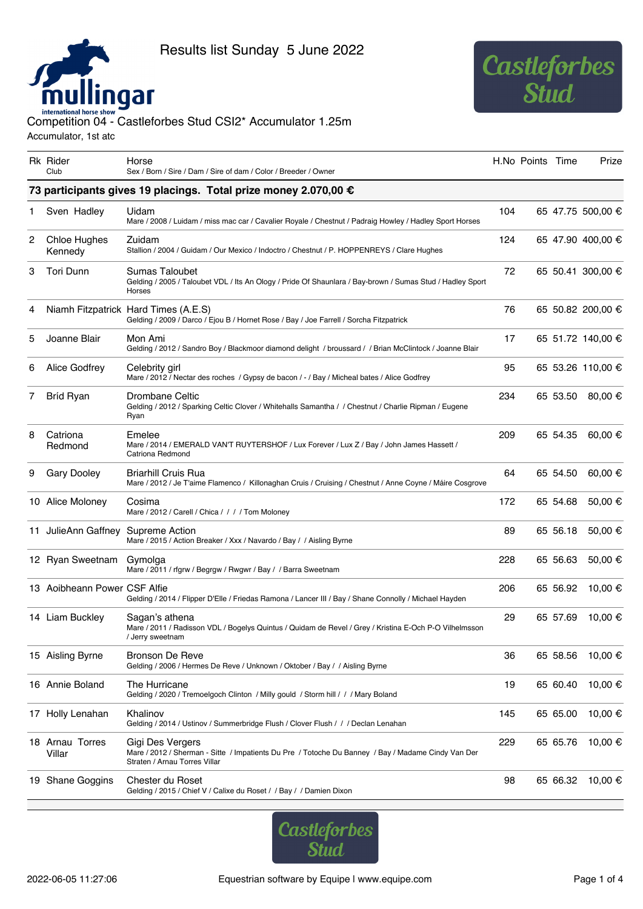



## international horse show<br>Competition 04 - Castleforbes Stud CSI2\* Accumulator 1.25m Accumulator, 1st atc

|   | Rk Rider<br>Club                                                | Horse<br>Sex / Born / Sire / Dam / Sire of dam / Color / Breeder / Owner                                                                                |     | H.No Points Time |          | Prize             |  |  |  |  |
|---|-----------------------------------------------------------------|---------------------------------------------------------------------------------------------------------------------------------------------------------|-----|------------------|----------|-------------------|--|--|--|--|
|   | 73 participants gives 19 placings. Total prize money 2.070,00 € |                                                                                                                                                         |     |                  |          |                   |  |  |  |  |
| 1 | Sven Hadley                                                     | Uidam<br>Mare / 2008 / Luidam / miss mac car / Cavalier Royale / Chestnut / Padraig Howley / Hadley Sport Horses                                        | 104 |                  |          | 65 47.75 500,00 € |  |  |  |  |
| 2 | Chloe Hughes<br>Kennedy                                         | Zuidam<br>Stallion / 2004 / Guidam / Our Mexico / Indoctro / Chestnut / P. HOPPENREYS / Clare Hughes                                                    | 124 |                  |          | 65 47.90 400,00 € |  |  |  |  |
| 3 | Tori Dunn                                                       | Sumas Taloubet<br>Gelding / 2005 / Taloubet VDL / Its An Ology / Pride Of Shaunlara / Bay-brown / Sumas Stud / Hadley Sport<br>Horses                   | 72  |                  |          | 65 50.41 300,00 € |  |  |  |  |
| 4 |                                                                 | Niamh Fitzpatrick Hard Times (A.E.S)<br>Gelding / 2009 / Darco / Ejou B / Hornet Rose / Bay / Joe Farrell / Sorcha Fitzpatrick                          | 76  |                  |          | 65 50.82 200,00 € |  |  |  |  |
| 5 | Joanne Blair                                                    | Mon Ami<br>Gelding / 2012 / Sandro Boy / Blackmoor diamond delight / broussard / / Brian McClintock / Joanne Blair                                      | 17  |                  |          | 65 51.72 140,00 € |  |  |  |  |
| 6 | Alice Godfrey                                                   | Celebrity girl<br>Mare / 2012 / Nectar des roches / Gypsy de bacon / - / Bay / Micheal bates / Alice Godfrey                                            | 95  |                  |          | 65 53.26 110,00 € |  |  |  |  |
| 7 | Bríd Ryan                                                       | Drombane Celtic<br>Gelding / 2012 / Sparking Celtic Clover / Whitehalls Samantha / / Chestnut / Charlie Ripman / Eugene<br>Ryan                         | 234 |                  | 65 53.50 | 80,00 €           |  |  |  |  |
| 8 | Catriona<br>Redmond                                             | Emelee<br>Mare / 2014 / EMERALD VAN'T RUYTERSHOF / Lux Forever / Lux Z / Bay / John James Hassett /<br>Catriona Redmond                                 | 209 |                  | 65 54.35 | 60,00 €           |  |  |  |  |
| 9 | <b>Gary Dooley</b>                                              | <b>Briarhill Cruis Rua</b><br>Mare / 2012 / Je T'aime Flamenco / Killonaghan Cruis / Cruising / Chestnut / Anne Coyne / Máire Cosgrove                  | 64  |                  | 65 54.50 | 60,00 €           |  |  |  |  |
|   | 10 Alice Moloney                                                | Cosima<br>Mare / 2012 / Carell / Chica / / / / Tom Moloney                                                                                              | 172 |                  | 65 54.68 | 50,00 €           |  |  |  |  |
|   | 11 JulieAnn Gaffney                                             | Supreme Action<br>Mare / 2015 / Action Breaker / Xxx / Navardo / Bay / / Aisling Byrne                                                                  | 89  |                  | 65 56.18 | 50,00 €           |  |  |  |  |
|   | 12 Ryan Sweetnam                                                | Gymolga<br>Mare / 2011 / rfgrw / Begrgw / Rwgwr / Bay / / Barra Sweetnam                                                                                | 228 |                  | 65 56.63 | 50,00 €           |  |  |  |  |
|   | 13 Aoibheann Power CSF Alfie                                    | Gelding / 2014 / Flipper D'Elle / Friedas Ramona / Lancer III / Bay / Shane Connolly / Michael Hayden                                                   | 206 |                  | 65 56.92 | 10,00 €           |  |  |  |  |
|   | 14 Liam Buckley                                                 | Sagan's athena<br>Mare / 2011 / Radisson VDL / Bogelys Quintus / Quidam de Revel / Grey / Kristina E-Och P-O Vilhelmsson<br>/ Jerry sweetnam            | 29  |                  | 65 57.69 | 10,00 €           |  |  |  |  |
|   | 15 Aisling Byrne                                                | Bronson De Reve<br>Gelding / 2006 / Hermes De Reve / Unknown / Oktober / Bay / / Aisling Byrne                                                          | 36  |                  | 65 58.56 | 10,00 €           |  |  |  |  |
|   | 16 Annie Boland                                                 | The Hurricane<br>Gelding / 2020 / Tremoelgoch Clinton / Milly gould / Storm hill / / / Mary Boland                                                      | 19  |                  | 65 60.40 | 10,00 €           |  |  |  |  |
|   | 17 Holly Lenahan                                                | Khalinov<br>Gelding / 2014 / Ustinov / Summerbridge Flush / Clover Flush / / / Declan Lenahan                                                           | 145 |                  | 65 65.00 | 10,00 €           |  |  |  |  |
|   | 18 Arnau Torres<br>Villar                                       | Gigi Des Vergers<br>Mare / 2012 / Sherman - Sitte / Impatients Du Pre / Totoche Du Banney / Bay / Madame Cindy Van Der<br>Straten / Arnau Torres Villar | 229 |                  | 65 65.76 | 10,00 €           |  |  |  |  |
|   | 19 Shane Goggins                                                | Chester du Roset<br>Gelding / 2015 / Chief V / Calixe du Roset / / Bay / / Damien Dixon                                                                 | 98  |                  | 65 66.32 | 10,00 €           |  |  |  |  |

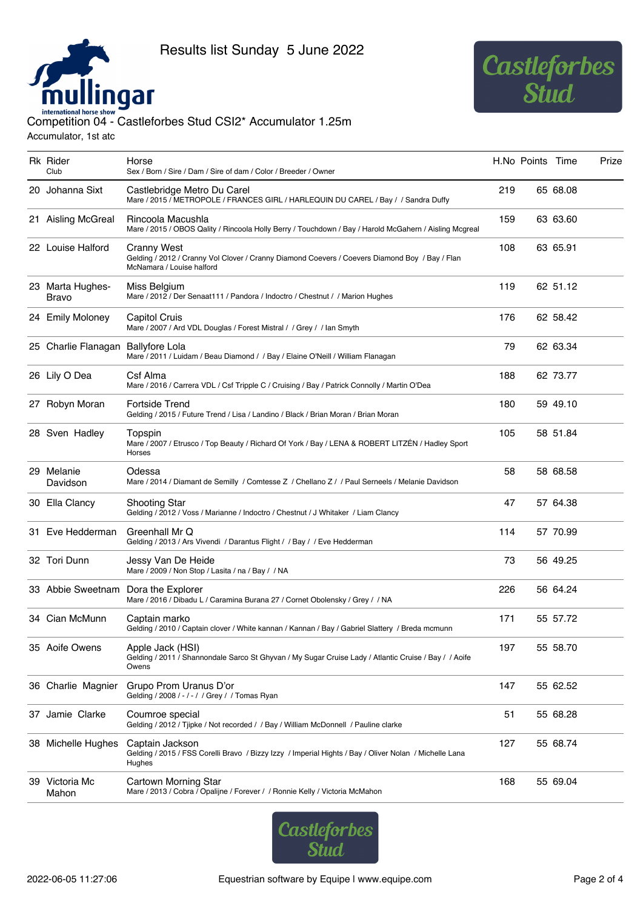



## international horse show<br>Competition 04 - Castleforbes Stud CSI2\* Accumulator 1.25m

Accumulator, 1st atc

| Rk Rider<br>Club          | Horse<br>Sex / Born / Sire / Dam / Sire of dam / Color / Breeder / Owner                                                                          |     | H.No Points Time |          | Prize |
|---------------------------|---------------------------------------------------------------------------------------------------------------------------------------------------|-----|------------------|----------|-------|
| 20 Johanna Sixt           | Castlebridge Metro Du Carel<br>Mare / 2015 / METROPOLE / FRANCES GIRL / HARLEQUIN DU CAREL / Bay / / Sandra Duffy                                 | 219 |                  | 65 68.08 |       |
| 21 Aisling McGreal        | Rincoola Macushla<br>Mare / 2015 / OBOS Qality / Rincoola Holly Berry / Touchdown / Bay / Harold McGahern / Aisling Mcgreal                       | 159 |                  | 63 63.60 |       |
| 22 Louise Halford         | <b>Cranny West</b><br>Gelding / 2012 / Cranny Vol Clover / Cranny Diamond Coevers / Coevers Diamond Boy / Bay / Flan<br>McNamara / Louise halford | 108 |                  | 63 65.91 |       |
| 23 Marta Hughes-<br>Bravo | Miss Belgium<br>Mare / 2012 / Der Senaat111 / Pandora / Indoctro / Chestnut / / Marion Hughes                                                     | 119 |                  | 62 51.12 |       |
| 24 Emily Moloney          | Capitol Cruis<br>Mare / 2007 / Ard VDL Douglas / Forest Mistral / / Grey / / Ian Smyth                                                            | 176 |                  | 62 58.42 |       |
| 25 Charlie Flanagan       | <b>Ballyfore Lola</b><br>Mare / 2011 / Luidam / Beau Diamond / / Bay / Elaine O'Neill / William Flanagan                                          | 79  |                  | 62 63.34 |       |
| 26 Lily O Dea             | Csf Alma<br>Mare / 2016 / Carrera VDL / Csf Tripple C / Cruising / Bay / Patrick Connolly / Martin O'Dea                                          | 188 |                  | 62 73.77 |       |
| 27 Robyn Moran            | <b>Fortside Trend</b><br>Gelding / 2015 / Future Trend / Lisa / Landino / Black / Brian Moran / Brian Moran                                       | 180 |                  | 59 49.10 |       |
| 28 Sven Hadley            | Topspin<br>Mare / 2007 / Etrusco / Top Beauty / Richard Of York / Bay / LENA & ROBERT LITZÉN / Hadley Sport<br>Horses                             | 105 |                  | 58 51.84 |       |
| 29 Melanie<br>Davidson    | Odessa<br>Mare / 2014 / Diamant de Semilly / Comtesse Z / Chellano Z / / Paul Serneels / Melanie Davidson                                         | 58  |                  | 58 68.58 |       |
| 30 Ella Clancy            | <b>Shooting Star</b><br>Gelding / 2012 / Voss / Marianne / Indoctro / Chestnut / J Whitaker / Liam Clancy                                         | 47  |                  | 57 64.38 |       |
| 31 Eve Hedderman          | Greenhall Mr Q<br>Gelding / 2013 / Ars Vivendi / Darantus Flight / / Bay / / Eve Hedderman                                                        | 114 |                  | 57 70.99 |       |
| 32 Tori Dunn              | Jessy Van De Heide<br>Mare / 2009 / Non Stop / Lasita / na / Bay / / NA                                                                           | 73  |                  | 56 49.25 |       |
| 33 Abbie Sweetnam         | Dora the Explorer<br>Mare / 2016 / Dibadu L / Caramina Burana 27 / Cornet Obolensky / Grey / / NA                                                 | 226 |                  | 56 64.24 |       |
| 34 Cian McMunn            | Captain marko<br>Gelding / 2010 / Captain clover / White kannan / Kannan / Bay / Gabriel Slattery / Breda mcmunn                                  | 171 |                  | 55 57.72 |       |
| 35 Aoife Owens            | Apple Jack (HSI)<br>Gelding / 2011 / Shannondale Sarco St Ghyvan / My Sugar Cruise Lady / Atlantic Cruise / Bay / / Aoife<br>Owens                | 197 |                  | 55 58.70 |       |
| 36 Charlie Magnier        | Grupo Prom Uranus D'or<br>Gelding / 2008 / - / - / / Grey / / Tomas Ryan                                                                          | 147 |                  | 55 62.52 |       |
| 37 Jamie Clarke           | Coumroe special<br>Gelding / 2012 / Tjipke / Not recorded / / Bay / William McDonnell / Pauline clarke                                            | 51  |                  | 55 68.28 |       |
| 38 Michelle Hughes        | Captain Jackson<br>Gelding / 2015 / FSS Corelli Bravo / Bizzy Izzy / Imperial Hights / Bay / Oliver Nolan / Michelle Lana<br>Hughes               | 127 |                  | 55 68.74 |       |
| 39 Victoria Mc<br>Mahon   | Cartown Morning Star<br>Mare / 2013 / Cobra / Opalijne / Forever / / Ronnie Kelly / Victoria McMahon                                              | 168 |                  | 55 69.04 |       |

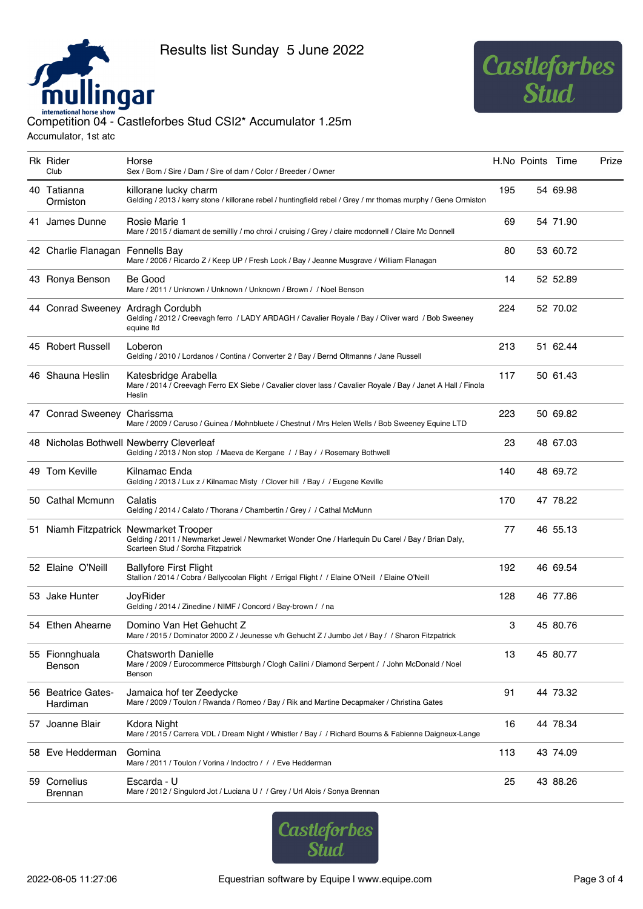



## international horse show<br>Competition 04 - Castleforbes Stud CSI2\* Accumulator 1.25m

Accumulator, 1st atc

| Rk Rider<br>Club                 | Horse<br>Sex / Born / Sire / Dam / Sire of dam / Color / Breeder / Owner                                                                                                         |     | H.No Points Time |          | Prize |
|----------------------------------|----------------------------------------------------------------------------------------------------------------------------------------------------------------------------------|-----|------------------|----------|-------|
| 40 Tatianna<br>Ormiston          | killorane lucky charm<br>Gelding / 2013 / kerry stone / killorane rebel / huntingfield rebel / Grey / mr thomas murphy / Gene Ormiston                                           | 195 |                  | 54 69.98 |       |
| 41 James Dunne                   | Rosie Marie 1<br>Mare / 2015 / diamant de semillly / mo chroi / cruising / Grey / claire mcdonnell / Claire Mc Donnell                                                           | 69  |                  | 54 71.90 |       |
| 42 Charlie Flanagan Fennells Bay | Mare / 2006 / Ricardo Z / Keep UP / Fresh Look / Bay / Jeanne Musgrave / William Flanagan                                                                                        | 80  |                  | 53 60.72 |       |
| 43 Ronya Benson                  | Be Good<br>Mare / 2011 / Unknown / Unknown / Unknown / Brown / / Noel Benson                                                                                                     | 14  |                  | 52 52.89 |       |
| 44 Conrad Sweeney                | Ardragh Cordubh<br>Gelding / 2012 / Creevagh ferro / LADY ARDAGH / Cavalier Royale / Bay / Oliver ward / Bob Sweeney<br>equine Itd                                               | 224 |                  | 52 70.02 |       |
| 45 Robert Russell                | Loberon<br>Gelding / 2010 / Lordanos / Contina / Converter 2 / Bay / Bernd Oltmanns / Jane Russell                                                                               | 213 |                  | 51 62.44 |       |
| 46 Shauna Heslin                 | Katesbridge Arabella<br>Mare / 2014 / Creevagh Ferro EX Siebe / Cavalier clover lass / Cavalier Royale / Bay / Janet A Hall / Finola<br>Heslin                                   | 117 |                  | 50 61.43 |       |
| 47 Conrad Sweeney Charissma      | Mare / 2009 / Caruso / Guinea / Mohnbluete / Chestnut / Mrs Helen Wells / Bob Sweeney Equine LTD                                                                                 | 223 |                  | 50 69.82 |       |
|                                  | 48 Nicholas Bothwell Newberry Cleverleaf<br>Gelding / 2013 / Non stop / Maeva de Kergane / / Bay / / Rosemary Bothwell                                                           | 23  |                  | 48 67.03 |       |
| 49 Tom Keville                   | Kilnamac Enda<br>Gelding / 2013 / Lux z / Kilnamac Misty / Clover hill / Bay / / Eugene Keville                                                                                  | 140 |                  | 48 69.72 |       |
| 50 Cathal Mcmunn                 | Calatis<br>Gelding / 2014 / Calato / Thorana / Chambertin / Grey / / Cathal McMunn                                                                                               | 170 |                  | 47 78.22 |       |
|                                  | 51 Niamh Fitzpatrick Newmarket Trooper<br>Gelding / 2011 / Newmarket Jewel / Newmarket Wonder One / Harlequin Du Carel / Bay / Brian Daly,<br>Scarteen Stud / Sorcha Fitzpatrick | 77  |                  | 46 55.13 |       |
| 52 Elaine O'Neill                | <b>Ballyfore First Flight</b><br>Stallion / 2014 / Cobra / Ballycoolan Flight / Errigal Flight / / Elaine O'Neill / Elaine O'Neill                                               | 192 |                  | 46 69.54 |       |
| 53 Jake Hunter                   | JoyRider<br>Gelding / 2014 / Zinedine / NIMF / Concord / Bay-brown / / na                                                                                                        | 128 |                  | 46 77.86 |       |
| 54 Ethen Ahearne                 | Domino Van Het Gehucht Z<br>Mare / 2015 / Dominator 2000 Z / Jeunesse v/h Gehucht Z / Jumbo Jet / Bay / / Sharon Fitzpatrick                                                     | 3   |                  | 45 80.76 |       |
| 55 Fionnghuala<br>Benson         | <b>Chatsworth Danielle</b><br>Mare / 2009 / Eurocommerce Pittsburgh / Clogh Cailini / Diamond Serpent / / John McDonald / Noel<br>Benson                                         | 13  |                  | 45 80.77 |       |
| 56 Beatrice Gates-<br>Hardiman   | Jamaica hof ter Zeedycke<br>Mare / 2009 / Toulon / Rwanda / Romeo / Bay / Rik and Martine Decapmaker / Christina Gates                                                           | 91  |                  | 44 73.32 |       |
| 57 Joanne Blair                  | Kdora Night<br>Mare / 2015 / Carrera VDL / Dream Night / Whistler / Bay / / Richard Bourns & Fabienne Daigneux-Lange                                                             | 16  |                  | 44 78.34 |       |
| 58 Eve Hedderman                 | Gomina<br>Mare / 2011 / Toulon / Vorina / Indoctro / / / Eve Hedderman                                                                                                           | 113 |                  | 43 74.09 |       |
| 59 Cornelius<br><b>Brennan</b>   | Escarda - U<br>Mare / 2012 / Singulord Jot / Luciana U / / Grey / Url Alois / Sonya Brennan                                                                                      | 25  |                  | 43 88.26 |       |